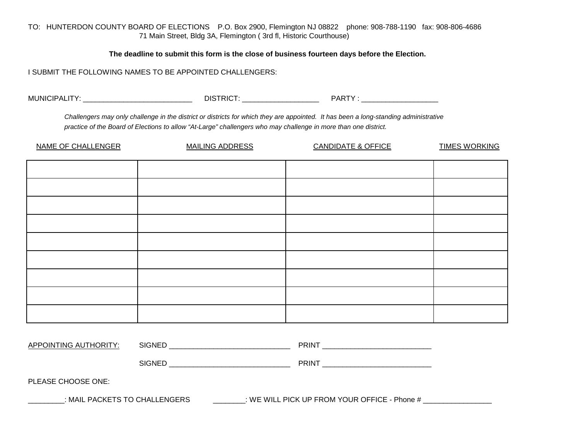TO: HUNTERDON COUNTY BOARD OF ELECTIONS P.O. Box 2900, Flemington NJ 08822 phone: 908-788-1190 fax: 908-806-4686 71 Main Street, Bldg 3A, Flemington ( 3rd fl, Historic Courthouse)

**The deadline to submit this form is the close of business fourteen days before the Election.**

I SUBMIT THE FOLLOWING NAMES TO BE APPOINTED CHALLENGERS:

MUNICIPALITY: \_\_\_\_\_\_\_\_\_\_\_\_\_\_\_\_\_\_\_\_\_\_\_\_\_\_\_ DISTRICT: \_\_\_\_\_\_\_\_\_\_\_\_\_\_\_\_\_\_\_ PARTY : \_\_\_\_\_\_\_\_\_\_\_\_\_\_\_\_\_\_\_

*Challengers may only challenge in the district or districts for which they are appointed. It has been a long-standing administrative practice of the Board of Elections to allow "At-Large" challengers who may challenge in more than one district.*

| NAME OF CHALLENGER | <b>MAILING ADDRESS</b> | <b>CANDIDATE &amp; OFFICE</b> | <b>TIMES WORKING</b> |
|--------------------|------------------------|-------------------------------|----------------------|
|                    |                        |                               |                      |
|                    |                        |                               |                      |
|                    |                        |                               |                      |
|                    |                        |                               |                      |
|                    |                        |                               |                      |
|                    |                        |                               |                      |
|                    |                        |                               |                      |
|                    |                        |                               |                      |
|                    |                        |                               |                      |

| APP <sup>2</sup><br>אוכ<br>$\blacksquare$<br>TNC<br>$\mathbf{v}$<br><b>AI</b><br>ℸ៶<br>− ∪ | SIGNE | ு<br>w |
|--------------------------------------------------------------------------------------------|-------|--------|
|--------------------------------------------------------------------------------------------|-------|--------|

SIGNED PRINT

PLEASE CHOOSE ONE:

\_\_\_\_\_\_\_\_\_: MAIL PACKETS TO CHALLENGERS \_\_\_\_\_\_\_\_\_\_: WE WILL PICK UP FROM YOUR OFFICE - Phone # \_\_\_\_\_\_\_\_\_\_\_\_\_\_\_